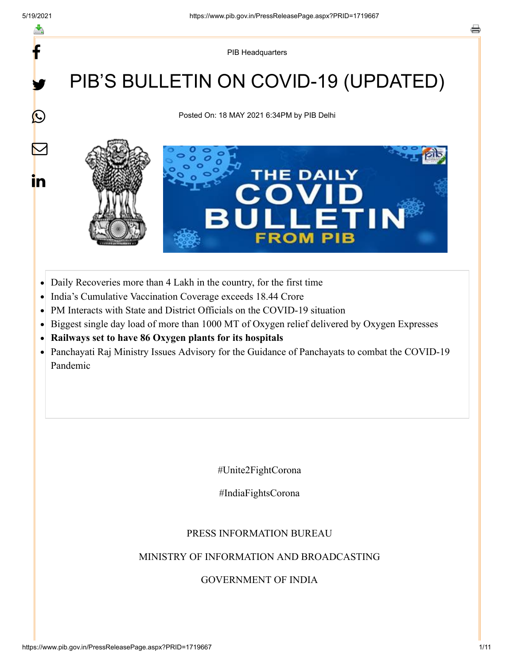f

y.

 $\bigcirc$ 

 $\bm{\nabla}$ 

in

PIB Headquarters

## PIB'S BULLETIN ON COVID-19 (UPDATED)

Posted On: 18 MAY 2021 6:34PM by PIB Delhi



- Daily Recoveries more than 4 Lakh in the country, for the first time  $\bullet$
- India's Cumulative Vaccination Coverage exceeds 18.44 Crore  $\bullet$
- PM Interacts with State and District Officials on the COVID-19 situation  $\bullet$
- Biggest single day load of more than 1000 MT of Oxygen relief delivered by Oxygen Expresses
- **Railways set to have 86 Oxygen plants for its hospitals**  $\bullet$
- Panchayati Raj Ministry Issues Advisory for the Guidance of Panchayats to combat the COVID-19  $\bullet$ Pandemic

#Unite2FightCorona

#IndiaFightsCorona

#### PRESS INFORMATION BUREAU

#### MINISTRY OF INFORMATION AND BROADCASTING

#### GOVERNMENT OF INDIA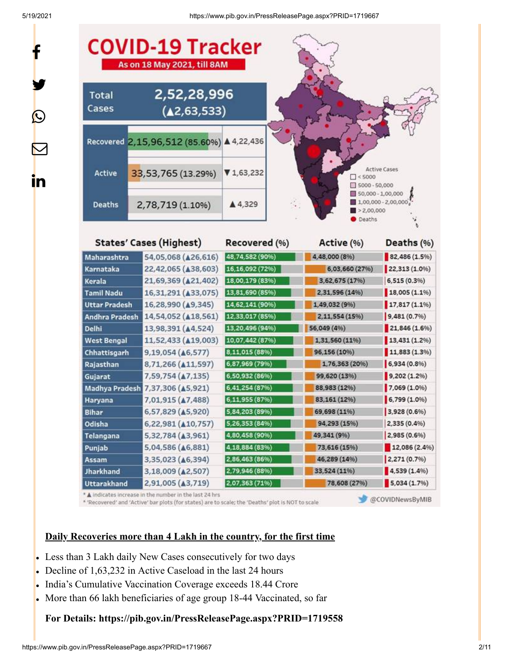f

y.

 $\bf \Omega$ 

 $\bm{\nabla}$ 

<u>in</u>

5/19/2021 https://www.pib.gov.in/PressReleasePage.aspx?PRID=1719667



\* A indicates increase in the number in the last 24 hrs

\* 'Recovered' and 'Active' bar plots (for states) are to scale; the 'Deaths' plot is NOT to scale

@COVIDNewsByMIB

#### **Daily Recoveries more than 4 Lakh in the country, for the first time**

- Less than 3 Lakh daily New Cases consecutively for two days
- Decline of 1,63,232 in Active Caseload in the last 24 hours
- India's Cumulative Vaccination Coverage exceeds 18.44 Crore
- More than 66 lakh beneficiaries of age group 18-44 Vaccinated, so far

#### **For Details: <https://pib.gov.in/PressReleasePage.aspx?PRID=1719558>**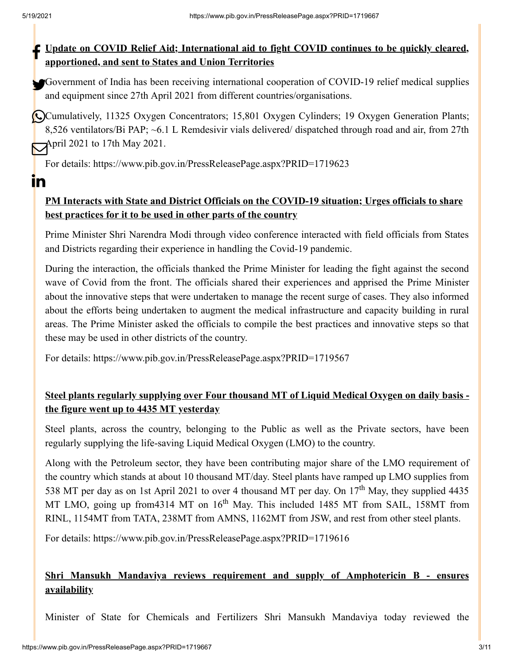<u>in</u>

#### **ID** Update on COVID Relief Aid; International aid to fight COVID continues to be quickly cleared, **apportioned, and sent to States and Union Territories**

Government of India has been receiving international cooperation of COVID-19 relief medical supplies and equipment since 27th April 2021 from different countries/organisations.

Cumulatively, 11325 Oxygen Concentrators; 15,801 Oxygen Cylinders; 19 Oxygen Generation Plants; 8,526 ventilators/Bi PAP; ~6.1 L Remdesivir vials delivered/ dispatched through road and air, from 27th April 2021 to 17th May 2021.

For details:<https://www.pib.gov.in/PressReleasePage.aspx?PRID=1719623>

#### **PM Interacts with State and District Officials on the COVID-19 situation; Urges officials to share best practices for it to be used in other parts of the country**

Prime Minister Shri Narendra Modi through video conference interacted with field officials from States and Districts regarding their experience in handling the Covid-19 pandemic.

During the interaction, the officials thanked the Prime Minister for leading the fight against the second wave of Covid from the front. The officials shared their experiences and apprised the Prime Minister about the innovative steps that were undertaken to manage the recent surge of cases. They also informed about the efforts being undertaken to augment the medical infrastructure and capacity building in rural areas. The Prime Minister asked the officials to compile the best practices and innovative steps so that these may be used in other districts of the country.

For details:<https://www.pib.gov.in/PressReleasePage.aspx?PRID=1719567>

#### **Steel plants regularly supplying over Four thousand MT of Liquid Medical Oxygen on daily basis the figure went up to 4435 MT yesterday**

Steel plants, across the country, belonging to the Public as well as the Private sectors, have been regularly supplying the life-saving Liquid Medical Oxygen (LMO) to the country.

Along with the Petroleum sector, they have been contributing major share of the LMO requirement of the country which stands at about 10 thousand MT/day. Steel plants have ramped up LMO supplies from 538 MT per day as on 1st April 2021 to over 4 thousand MT per day. On  $17<sup>th</sup>$  May, they supplied 4435 MT LMO, going up from 4314 MT on 16<sup>th</sup> May. This included 1485 MT from SAIL, 158MT from RINL, 1154MT from TATA, 238MT from AMNS, 1162MT from JSW, and rest from other steel plants.

For details:<https://www.pib.gov.in/PressReleasePage.aspx?PRID=1719616>

#### **Shri Mansukh Mandaviya reviews requirement and supply of Amphotericin B - ensures availability**

Minister of State for Chemicals and Fertilizers Shri Mansukh Mandaviya today reviewed the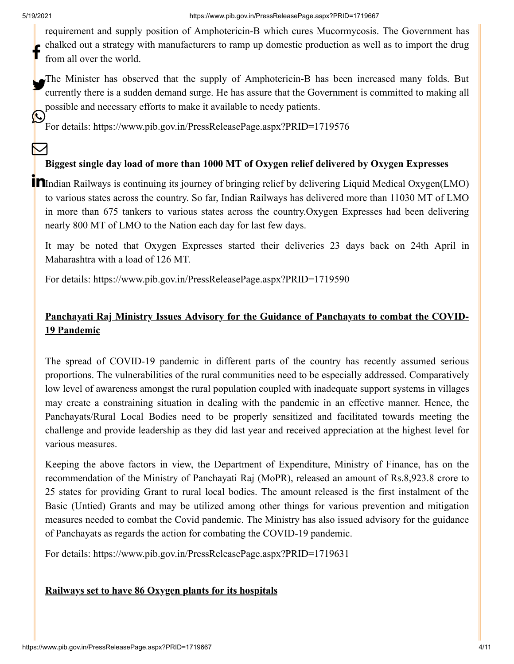M

requirement and supply position of Amphotericin-B which cures Mucormycosis. The Government has chalked out a strategy with manufacturers to ramp up domestic production as well as to import the drug from all over the world. f

The Minister has observed that the supply of Amphotericin-B has been increased many folds. But currently there is a sudden demand surge. He has assure that the Government is committed to making all possible and necessary efforts to make it available to needy patients. **R** 

For details:<https://www.pib.gov.in/PressReleasePage.aspx?PRID=1719576>

#### **Biggest single day load of more than 1000 MT of Oxygen relief delivered by Oxygen Expresses**

**In**Indian Railways is continuing its journey of bringing relief by delivering Liquid Medical Oxygen(LMO) to various states across the country. So far, Indian Railways has delivered more than 11030 MT of LMO in more than 675 tankers to various states across the country.Oxygen Expresses had been delivering nearly 800 MT of LMO to the Nation each day for last few days.

It may be noted that Oxygen Expresses started their deliveries 23 days back on 24th April in Maharashtra with a load of 126 MT.

For details:<https://www.pib.gov.in/PressReleasePage.aspx?PRID=1719590>

#### **Panchayati Raj Ministry Issues Advisory for the Guidance of Panchayats to combat the COVID-19 Pandemic**

The spread of COVID-19 pandemic in different parts of the country has recently assumed serious proportions. The vulnerabilities of the rural communities need to be especially addressed. Comparatively low level of awareness amongst the rural population coupled with inadequate support systems in villages may create a constraining situation in dealing with the pandemic in an effective manner. Hence, the Panchayats/Rural Local Bodies need to be properly sensitized and facilitated towards meeting the challenge and provide leadership as they did last year and received appreciation at the highest level for various measures.

Keeping the above factors in view, the Department of Expenditure, Ministry of Finance, has on the recommendation of the Ministry of Panchayati Raj (MoPR), released an amount of Rs.8,923.8 crore to 25 states for providing Grant to rural local bodies. The amount released is the first instalment of the Basic (Untied) Grants and may be utilized among other things for various prevention and mitigation measures needed to combat the Covid pandemic. The Ministry has also issued advisory for the guidance of Panchayats as regards the action for combating the COVID-19 pandemic.

For details:<https://www.pib.gov.in/PressReleasePage.aspx?PRID=1719631>

#### **Railways set to have 86 Oxygen plants for its hospitals**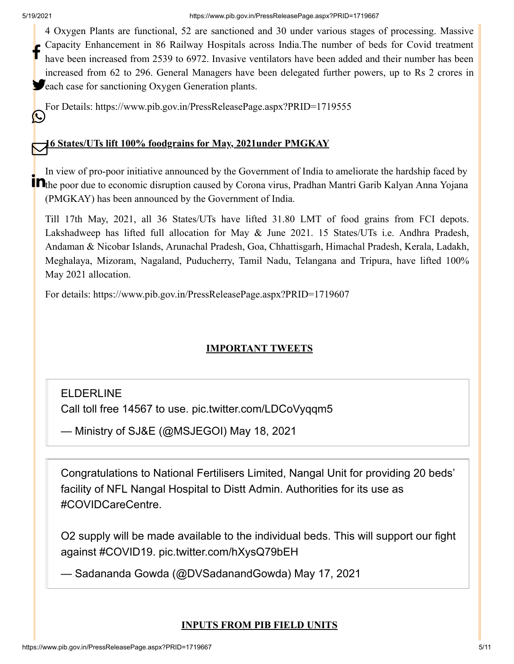4 Oxygen Plants are functional, 52 are sanctioned and 30 under various stages of processing. Massive Capacity Enhancement in 86 Railway Hospitals across India.The number of beds for Covid treatment have been increased from 2539 to 6972. Invasive ventilators have been added and their number has been increased from 62 to 296. General Managers have been delegated further powers, up to Rs 2 crores in **S**each case for sanctioning Oxygen Generation plants. f

For Details: <https://www.pib.gov.in/PressReleasePage.aspx?PRID=1719555> (L)

## **16 States/UTs lift 100% foodgrains for May, 2021under PMGKAY**

In view of pro-poor initiative announced by the Government of India to ameliorate the hardship faced by **The poor due to economic disruption caused by Corona virus, Pradhan Mantri Garib Kalyan Anna Yojana** (PMGKAY) has been announced by the Government of India.

Till 17th May, 2021, all 36 States/UTs have lifted 31.80 LMT of food grains from FCI depots. Lakshadweep has lifted full allocation for May & June 2021. 15 States/UTs i.e. Andhra Pradesh, Andaman & Nicobar Islands, Arunachal Pradesh, Goa, Chhattisgarh, Himachal Pradesh, Kerala, Ladakh, Meghalaya, Mizoram, Nagaland, Puducherry, Tamil Nadu, Telangana and Tripura, have lifted 100% May 2021 allocation.

For details:<https://www.pib.gov.in/PressReleasePage.aspx?PRID=1719607>

#### **IMPORTANT TWEETS**

## ELDERLINE

Call toll free 14567 to use. [pic.twitter.com/LDCoVyqqm5](https://t.co/LDCoVyqqm5)

— Ministry of SJ&E (@MSJEGOI) [May 18, 2021](https://twitter.com/MSJEGOI/status/1394566330037112837?ref_src=twsrc%5Etfw)

Congratulations to National Fertilisers Limited, Nangal Unit for providing 20 beds' facility of NFL Nangal Hospital to Distt Admin. Authorities for its use as [#COVIDCareCentre](https://twitter.com/hashtag/COVIDCareCentre?src=hash&ref_src=twsrc%5Etfw).

O2 supply will be made available to the individual beds. This will support our fight against [#COVID19.](https://twitter.com/hashtag/COVID19?src=hash&ref_src=twsrc%5Etfw) [pic.twitter.com/hXysQ79bEH](https://t.co/hXysQ79bEH)

— Sadananda Gowda (@DVSadanandGowda) [May 17, 2021](https://twitter.com/DVSadanandGowda/status/1394222185019953156?ref_src=twsrc%5Etfw)

#### **INPUTS FROM PIB FIELD UNITS**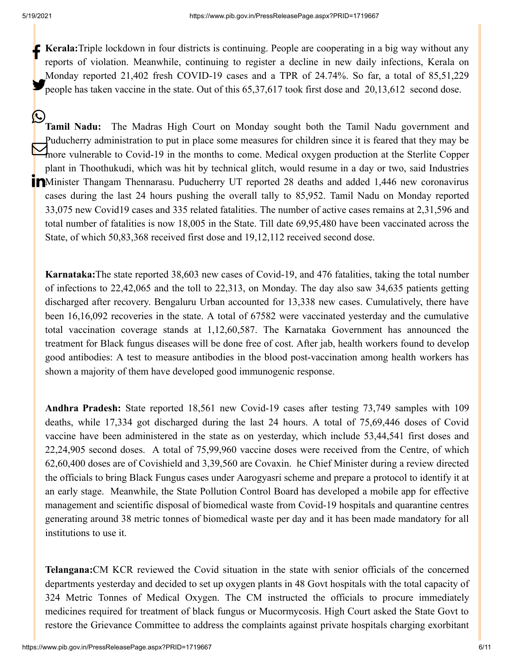**Kerala:**Triple lockdown in four districts is continuing. People are cooperating in a big way without any  $\mathbb{R}$ reports of violation. Meanwhile, continuing to register a decline in new daily infections, Kerala on Monday reported 21,402 fresh COVID-19 cases and a TPR of 24.74%. So far, a total of 85,51,229 people has taken vaccine in the state. Out of this  $65,37,617$  took first dose and  $20,13,612$  second dose.

**Tamil Nadu:** The Madras High Court on Monday sought both the Tamil Nadu government and Puducherry administration to put in place some measures for children since it is feared that they may be more vulnerable to Covid-19 in the months to come. Medical oxygen production at the Sterlite Copper plant in Thoothukudi, which was hit by technical glitch, would resume in a day or two, said Industries Minister Thangam Thennarasu. Puducherry UT reported 28 deaths and added 1,446 new coronavirus cases during the last 24 hours pushing the overall tally to 85,952. Tamil Nadu on Monday reported 33,075 new Covid19 cases and 335 related fatalities. The number of active cases remains at 2,31,596 and total number of fatalities is now 18,005 in the State. Till date 69,95,480 have been vaccinated across the State, of which 50,83,368 received first dose and 19,12,112 received second dose. Ŀ

**Karnataka:**The state reported 38,603 new cases of Covid-19, and 476 fatalities, taking the total number of infections to 22,42,065 and the toll to 22,313, on Monday. The day also saw 34,635 patients getting discharged after recovery. Bengaluru Urban accounted for 13,338 new cases. Cumulatively, there have been 16,16,092 recoveries in the state. A total of 67582 were vaccinated yesterday and the cumulative total vaccination coverage stands at 1,12,60,587. The Karnataka Government has announced the treatment for Black fungus diseases will be done free of cost. After jab, health workers found to develop good antibodies: A test to measure antibodies in the blood post-vaccination among health workers has shown a majority of them have developed good immunogenic response.

**Andhra Pradesh:** State reported 18,561 new Covid-19 cases after testing 73,749 samples with 109 deaths, while 17,334 got discharged during the last 24 hours. A total of 75,69,446 doses of Covid vaccine have been administered in the state as on yesterday, which include 53,44,541 first doses and 22,24,905 second doses. A total of 75,99,960 vaccine doses were received from the Centre, of which 62,60,400 doses are of Covishield and 3,39,560 are Covaxin. he Chief Minister during a review directed the officials to bring Black Fungus cases under Aarogyasri scheme and prepare a protocol to identify it at an early stage. Meanwhile, the State Pollution Control Board has developed a mobile app for effective management and scientific disposal of biomedical waste from Covid-19 hospitals and quarantine centres generating around 38 metric tonnes of biomedical waste per day and it has been made mandatory for all institutions to use it.

**Telangana:**CM KCR reviewed the Covid situation in the state with senior officials of the concerned departments yesterday and decided to set up oxygen plants in 48 Govt hospitals with the total capacity of 324 Metric Tonnes of Medical Oxygen. The CM instructed the officials to procure immediately medicines required for treatment of black fungus or Mucormycosis. High Court asked the State Govt to restore the Grievance Committee to address the complaints against private hospitals charging exorbitant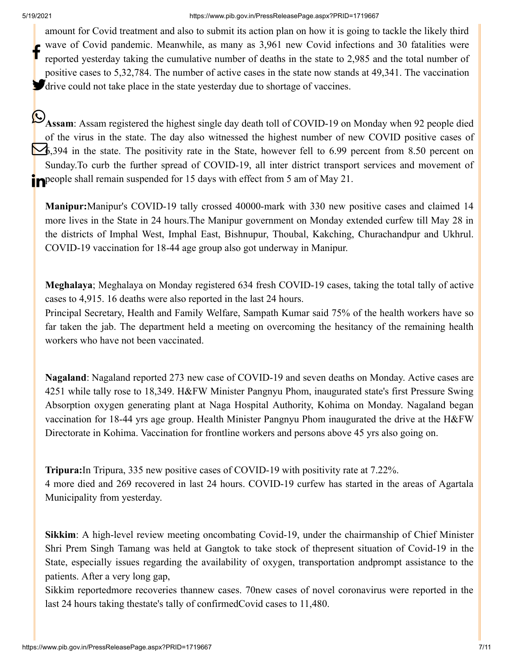#### 5/19/2021 https://www.pib.gov.in/PressReleasePage.aspx?PRID=1719667

amount for Covid treatment and also to submit its action plan on how it is going to tackle the likely third wave of Covid pandemic. Meanwhile, as many as 3,961 new Covid infections and 30 fatalities were reported yesterday taking the cumulative number of deaths in the state to 2,985 and the total number of positive cases to 5,32,784. The number of active cases in the state now stands at 49,341. The vaccination **d**rive could not take place in the state yesterday due to shortage of vaccines. f

**Assam**: Assam registered the highest single day death toll of COVID-19 on Monday when 92 people died of the virus in the state. The day also witnessed the highest number of new COVID positive cases of 6,394 in the state. The positivity rate in the State, however fell to 6.99 percent from 8.50 percent on Sunday.To curb the further spread of COVID-19, all inter district transport services and movement of people shall remain suspended for 15 days with effect from 5 am of May 21.

**Manipur:**Manipur's COVID-19 tally crossed 40000-mark with 330 new positive cases and claimed 14 more lives in the State in 24 hours.The Manipur government on Monday extended curfew till May 28 in the districts of Imphal West, Imphal East, Bishnupur, Thoubal, Kakching, Churachandpur and Ukhrul. COVID-19 vaccination for 18-44 age group also got underway in Manipur.

**Meghalaya**; Meghalaya on Monday registered 634 fresh COVID-19 cases, taking the total tally of active cases to 4,915. 16 deaths were also reported in the last 24 hours.

Principal Secretary, Health and Family Welfare, Sampath Kumar said 75% of the health workers have so far taken the jab. The department held a meeting on overcoming the hesitancy of the remaining health workers who have not been vaccinated.

**Nagaland**: Nagaland reported 273 new case of COVID-19 and seven deaths on Monday. Active cases are 4251 while tally rose to 18,349. H&FW Minister Pangnyu Phom, inaugurated state's first Pressure Swing Absorption oxygen generating plant at Naga Hospital Authority, Kohima on Monday. Nagaland began vaccination for 18-44 yrs age group. Health Minister Pangnyu Phom inaugurated the drive at the H&FW Directorate in Kohima. Vaccination for frontline workers and persons above 45 yrs also going on.

**Tripura:**In Tripura, 335 new positive cases of COVID-19 with positivity rate at 7.22%. 4 more died and 269 recovered in last 24 hours. COVID-19 curfew has started in the areas of Agartala Municipality from yesterday.

**Sikkim**: A high-level review meeting oncombating Covid-19, under the chairmanship of Chief Minister Shri Prem Singh Tamang was held at Gangtok to take stock of thepresent situation of Covid-19 in the State, especially issues regarding the availability of oxygen, transportation andprompt assistance to the patients. After a very long gap,

Sikkim reportedmore recoveries thannew cases. 70new cases of novel coronavirus were reported in the last 24 hours taking thestate's tally of confirmedCovid cases to 11,480.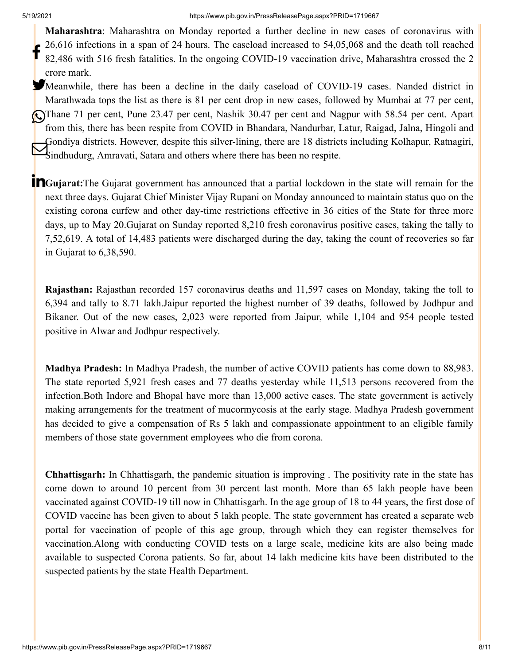**Maharashtra**: Maharashtra on Monday reported a further decline in new cases of coronavirus with 26,616 infections in a span of 24 hours. The caseload increased to 54,05,068 and the death toll reached 82,486 with 516 fresh fatalities. In the ongoing COVID-19 vaccination drive, Maharashtra crossed the 2 crore mark. f

Meanwhile, there has been a decline in the daily caseload of COVID-19 cases. Nanded district in Marathwada tops the list as there is 81 per cent drop in new cases, followed by Mumbai at 77 per cent, Thane 71 per cent, Pune 23.47 per cent, Nashik 30.47 per cent and Nagpur with 58.54 per cent. Apart from this, there has been respite from COVID in Bhandara, Nandurbar, Latur, Raigad, Jalna, Hingoli and Gondiya districts. However, despite this silver-lining, there are 18 districts including Kolhapur, Ratnagiri, Sindhudurg, Amravati, Satara and others where there has been no respite.

**T**Gujarat:The Gujarat government has announced that a partial lockdown in the state will remain for the next three days. Gujarat Chief Minister Vijay Rupani on Monday announced to maintain status quo on the existing corona curfew and other day-time restrictions effective in 36 cities of the State for three more days, up to May 20.Gujarat on Sunday reported 8,210 fresh coronavirus positive cases, taking the tally to 7,52,619. A total of 14,483 patients were discharged during the day, taking the count of recoveries so far in Gujarat to 6,38,590.

**Rajasthan:** Rajasthan recorded 157 coronavirus deaths and 11,597 cases on Monday, taking the toll to 6,394 and tally to 8.71 lakh.Jaipur reported the highest number of 39 deaths, followed by Jodhpur and Bikaner. Out of the new cases, 2,023 were reported from Jaipur, while 1,104 and 954 people tested positive in Alwar and Jodhpur respectively.

**Madhya Pradesh:** In Madhya Pradesh, the number of active COVID patients has come down to 88,983. The state reported 5,921 fresh cases and 77 deaths yesterday while 11,513 persons recovered from the infection.Both Indore and Bhopal have more than 13,000 active cases. The state government is actively making arrangements for the treatment of mucormycosis at the early stage. Madhya Pradesh government has decided to give a compensation of Rs 5 lakh and compassionate appointment to an eligible family members of those state government employees who die from corona.

**Chhattisgarh:** In Chhattisgarh, the pandemic situation is improving . The positivity rate in the state has come down to around 10 percent from 30 percent last month. More than 65 lakh people have been vaccinated against COVID-19 till now in Chhattisgarh. In the age group of 18 to 44 years, the first dose of COVID vaccine has been given to about 5 lakh people. The state government has created a separate web portal for vaccination of people of this age group, through which they can register themselves for vaccination.Along with conducting COVID tests on a large scale, medicine kits are also being made available to suspected Corona patients. So far, about 14 lakh medicine kits have been distributed to the suspected patients by the state Health Department.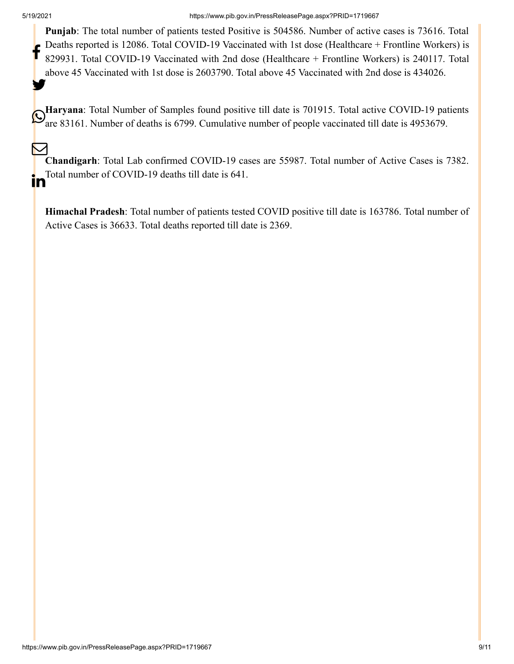**Punjab**: The total number of patients tested Positive is 504586. Number of active cases is 73616. Total Deaths reported is 12086. Total COVID-19 Vaccinated with 1st dose (Healthcare + Frontline Workers) is 829931. Total COVID-19 Vaccinated with 2nd dose (Healthcare + Frontline Workers) is 240117. Total above 45 Vaccinated with 1st dose is 2603790. Total above 45 Vaccinated with 2nd dose is 434026. f y.

**Haryana**: Total Number of Samples found positive till date is 701915. Total active COVID-19 patients **C**<br>are 83161. Number of deaths is 6799. Cumulative number of people vaccinated till date is 4953679.

**Chandigarh**: Total Lab confirmed COVID-19 cases are 55987. Total number of Active Cases is 7382. Total number of COVID-19 deaths till date is 641.  $\bm{\nabla}$ **in** 

**Himachal Pradesh**: Total number of patients tested COVID positive till date is 163786. Total number of Active Cases is 36633. Total deaths reported till date is 2369.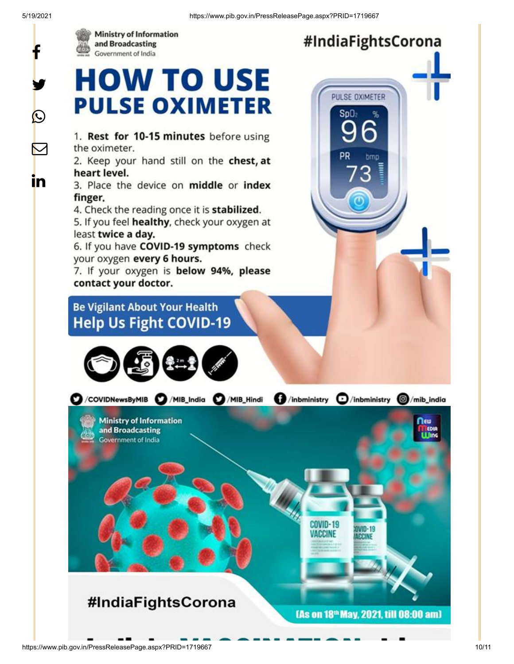



### #IndiaFightsCorona

PULSE OXIMETER

 $Sn()$ 

## **HOW TO USE PULSE OXIMETER**

1. Rest for 10-15 minutes before using the oximeter.

2. Keep your hand still on the chest, at heart level.

3. Place the device on middle or index finger.

4. Check the reading once it is stabilized.

5. If you feel healthy, check your oxygen at least twice a day.

6. If you have COVID-19 symptoms check your oxygen every 6 hours.

7. If your oxygen is below 94%, please contact your doctor.

#### **Be Vigilant About Your Health Help Us Fight COVID-19**



**O**/inbministry **O**/inbministry **O**/mib\_india C / COVIDNewsByMIB C / MIB\_India C / MIB\_Hindi **Ministry of Information** nεω and Broadcasting **ULING** Government of India **COVID-19** VACCINE #IndiaFightsCorona [As on 18<sup>th</sup> May, 2021, till 08:00 am]